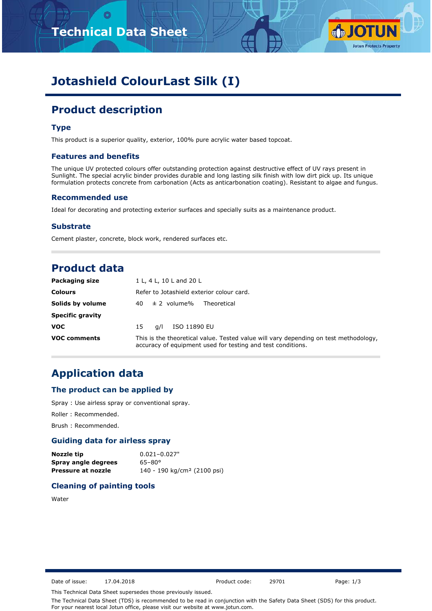# **Technical Data Sheet**



# **Jotashield ColourLast Silk (I)**

# **Product description**

## **Type**

This product is a superior quality, exterior, 100% pure acrylic water based topcoat.

#### **Features and benefits**

The unique UV protected colours offer outstanding protection against destructive effect of UV rays present in Sunlight. The special acrylic binder provides durable and long lasting silk finish with low dirt pick up. Its unique formulation protects concrete from carbonation (Acts as anticarbonation coating). Resistant to algae and fungus.

### **Recommended use**

Ideal for decorating and protecting exterior surfaces and specially suits as a maintenance product.

#### **Substrate**

Cement plaster, concrete, block work, rendered surfaces etc.

# **Product data**

| <b>Packaging size</b>   | 1 L, 4 L, 10 L and 20 L                                                                                                                             |
|-------------------------|-----------------------------------------------------------------------------------------------------------------------------------------------------|
| <b>Colours</b>          | Refer to Jotashield exterior colour card.                                                                                                           |
| Solids by volume        | $40 \pm 2$ volume%<br>Theoretical                                                                                                                   |
| <b>Specific gravity</b> |                                                                                                                                                     |
| <b>VOC</b>              | ISO 11890 EU<br>a/l<br>15                                                                                                                           |
| <b>VOC comments</b>     | This is the theoretical value. Tested value will vary depending on test methodology,<br>accuracy of equipment used for testing and test conditions. |

# **Application data**

### **The product can be applied by**

Spray : Use airless spray or conventional spray.

Roller : Recommended.

Brush : Recommended.

## **Guiding data for airless spray**

| Nozzle tip          | $0.021 - 0.027$ "                       |
|---------------------|-----------------------------------------|
| Spray angle degrees | $65 - 80^{\circ}$                       |
| Pressure at nozzle  | 140 - 190 kg/cm <sup>2</sup> (2100 psi) |

# **Cleaning of painting tools**

Water

Date of issue: 17.04.2018 Product code: 29701 Page: 1/3

This Technical Data Sheet supersedes those previously issued.

The Technical Data Sheet (TDS) is recommended to be read in conjunction with the Safety Data Sheet (SDS) for this product. For your nearest local Jotun office, please visit our website at www.jotun.com.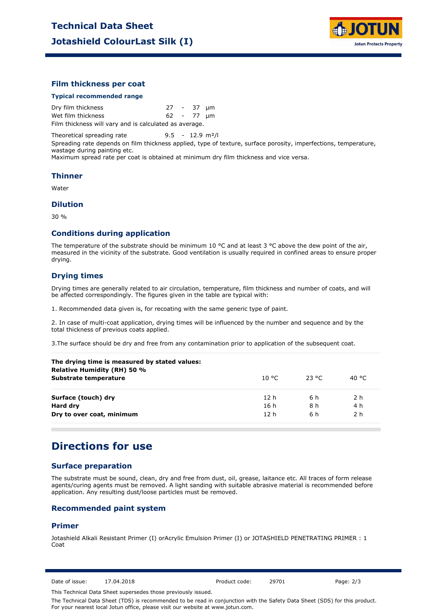

### **Film thickness per coat**

#### **Typical recommended range**

Dry film thickness 27 - 37 µm Wet film thickness 62 - 77 µm Film thickness will vary and is calculated as average.

Theoretical spreading rate 9.5 - 12.9 m²/l

Spreading rate depends on film thickness applied, type of texture, surface porosity, imperfections, temperature, wastage during painting etc.

Maximum spread rate per coat is obtained at minimum dry film thickness and vice versa.

#### **Thinner**

Water

#### **Dilution**

30 %

#### **Conditions during application**

The temperature of the substrate should be minimum 10 °C and at least 3 °C above the dew point of the air, measured in the vicinity of the substrate. Good ventilation is usually required in confined areas to ensure proper drying.

### **Drying times**

Drying times are generally related to air circulation, temperature, film thickness and number of coats, and will be affected correspondingly. The figures given in the table are typical with:

1. Recommended data given is, for recoating with the same generic type of paint.

2. In case of multi-coat application, drying times will be influenced by the number and sequence and by the total thickness of previous coats applied.

3.The surface should be dry and free from any contamination prior to application of the subsequent coat.

| The drying time is measured by stated values:<br>Relative Humidity (RH) 50 % |                 |          |        |  |  |
|------------------------------------------------------------------------------|-----------------|----------|--------|--|--|
| Substrate temperature                                                        | 10 °C.          | - 23 °C. | 40 °C. |  |  |
| Surface (touch) dry                                                          | 12 h            | 6 h      | 2 h    |  |  |
| Hard dry                                                                     | 16 h            | 8 h      | 4 h    |  |  |
| Dry to over coat, minimum                                                    | 12 <sub>h</sub> | 6 h      | 2 h    |  |  |

# **Directions for use**

### **Surface preparation**

The substrate must be sound, clean, dry and free from dust, oil, grease, laitance etc. All traces of form release agents/curing agents must be removed. A light sanding with suitable abrasive material is recommended before application. Any resulting dust/loose particles must be removed.

### **Recommended paint system**

#### **Primer**

Jotashield Alkali Resistant Primer (I) orAcrylic Emulsion Primer (I) or JOTASHIELD PENETRATING PRIMER : 1 Coat

Date of issue: 17.04.2018 Product code: 29701 Page: 2/3

This Technical Data Sheet supersedes those previously issued.

The Technical Data Sheet (TDS) is recommended to be read in conjunction with the Safety Data Sheet (SDS) for this product. For your nearest local Jotun office, please visit our website at www.jotun.com.